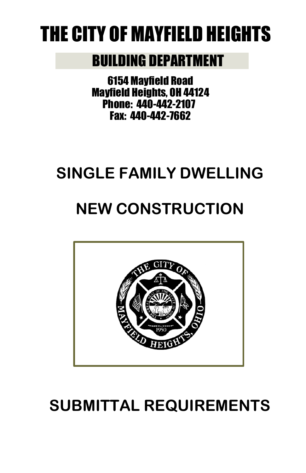# THE CITY OF MAYFIELD HEIGHTS

### BUILDING DEPARTMENT

6154 Mayfield Road Mayfield Heights, OH 44124 Phone: 440-442-2107 Fax: 440-442-7662

### **SINGLE FAMILY DWELLING**

## **NEW CONSTRUCTION**



## **SUBMITTAL REQUIREMENTS**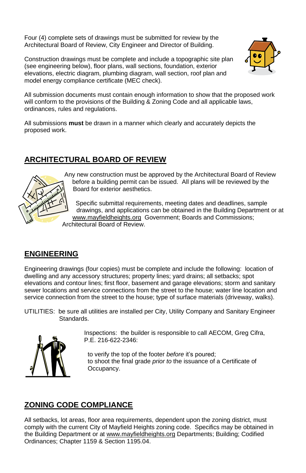Four (4) complete sets of drawings must be submitted for review by the Architectural Board of Review, City Engineer and Director of Building.

Construction drawings must be complete and include a topographic site plan (see engineering below), floor plans, wall sections, foundation, exterior elevations, electric diagram, plumbing diagram, wall section, roof plan and model energy compliance certificate (MEC check).



All submission documents must contain enough information to show that the proposed work will conform to the provisions of the Building & Zoning Code and all applicable laws, ordinances, rules and regulations.

All submissions **must** be drawn in a manner which clearly and accurately depicts the proposed work.

#### **ARCHITECTURAL BOARD OF REVIEW**



Any new construction must be approved by the Architectural Board of Review before a building permit can be issued. All plans will be reviewed by the Board for exterior aesthetics.

Specific submittal requirements, meeting dates and deadlines, sample drawings, and applications can be obtained in the Building Department or at [www.mayfieldheights.org](http://www.mayfieldheights.org/) Government; Boards and Commissions; Architectural Board of Review.

#### **ENGINEERING**

Engineering drawings (four copies) must be complete and include the following: location of dwelling and any accessory structures; property lines; yard drains; all setbacks; spot elevations and contour lines; first floor, basement and garage elevations; storm and sanitary sewer locations and service connections from the street to the house; water line location and service connection from the street to the house; type of surface materials (driveway, walks).

UTILITIES: be sure all utilities are installed per City, Utility Company and Sanitary Engineer Standards.



Inspections: the builder is responsible to call AECOM, Greg Cifra, P.E. 216-622-2346:

to verify the top of the footer *before* it's poured; to shoot the final grade *prior to* the issuance of a Certificate of Occupancy.

#### **ZONING CODE COMPLIANCE**

All setbacks, lot areas, floor area requirements, dependent upon the zoning district, must comply with the current City of Mayfield Heights zoning code. Specifics may be obtained in the Building Department or at [www.mayfieldheights.org](http://www.mayfieldheights.org/) Departments; Building; Codified Ordinances; Chapter 1159 & Section 1195.04.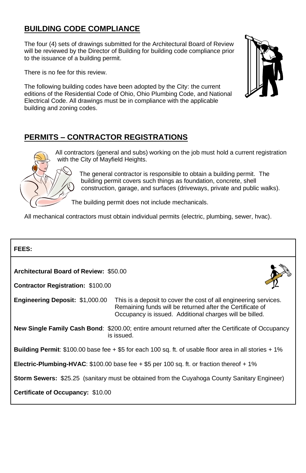#### **BUILDING CODE COMPLIANCE**

The four (4) sets of drawings submitted for the Architectural Board of Review will be reviewed by the Director of Building for building code compliance prior to the issuance of a building permit.

There is no fee for this review.

The following building codes have been adopted by the City: the current editions of the Residential Code of Ohio, Ohio Plumbing Code, and National Electrical Code. All drawings must be in compliance with the applicable building and zoning codes.

#### **PERMITS – CONTRACTOR REGISTRATIONS**



All contractors (general and subs) working on the job must hold a current registration with the City of Mayfield Heights.

> The general contractor is responsible to obtain a building permit. The building permit covers such things as foundation, concrete, shell construction, garage, and surfaces (driveways, private and public walks).

The building permit does not include mechanicals.

All mechanical contractors must obtain individual permits (electric, plumbing, sewer, hvac).

| FEES:                                                                                                                 |                                                                                                                                                                                          |  |
|-----------------------------------------------------------------------------------------------------------------------|------------------------------------------------------------------------------------------------------------------------------------------------------------------------------------------|--|
| Architectural Board of Review: \$50.00<br><b>Contractor Registration: \$100.00</b>                                    |                                                                                                                                                                                          |  |
| <b>Engineering Deposit: \$1,000.00</b>                                                                                | This is a deposit to cover the cost of all engineering services.<br>Remaining funds will be returned after the Certificate of<br>Occupancy is issued. Additional charges will be billed. |  |
| <b>New Single Family Cash Bond:</b> \$200.00; entire amount returned after the Certificate of Occupancy<br>is issued. |                                                                                                                                                                                          |  |
| <b>Building Permit:</b> \$100.00 base fee $+$ \$5 for each 100 sq. ft. of usable floor area in all stories $+$ 1%     |                                                                                                                                                                                          |  |
| <b>Electric-Plumbing-HVAC:</b> \$100.00 base fee $+$ \$5 per 100 sq. ft. or fraction thereof $+$ 1%                   |                                                                                                                                                                                          |  |
| <b>Storm Sewers:</b> \$25.25 (sanitary must be obtained from the Cuyahoga County Sanitary Engineer)                   |                                                                                                                                                                                          |  |
| Certificate of Occupancy: \$10.00                                                                                     |                                                                                                                                                                                          |  |
|                                                                                                                       |                                                                                                                                                                                          |  |